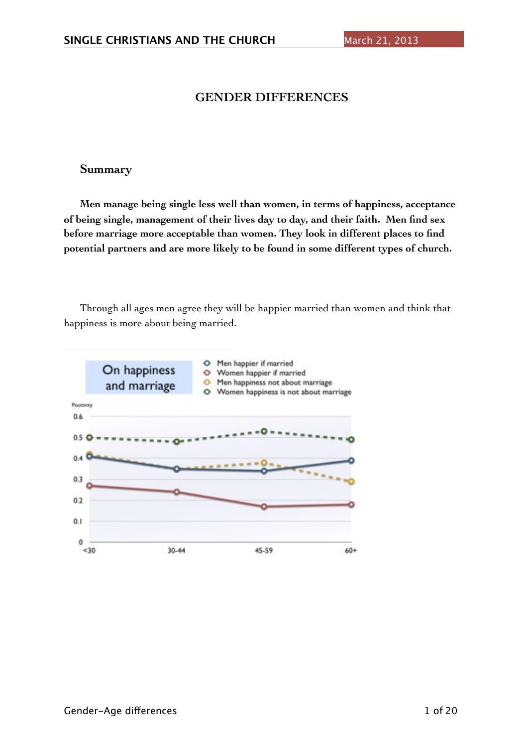# **GENDER DIFFERENCES**

## **Summary**

**Men manage being single less well than women, in terms of happiness, acceptance of being single, management of their lives day to day, and their faith. Men find sex before marriage more acceptable than women. They look in different places to find potential partners and are more likely to be found in some different types of church.** 

Through all ages men agree they will be happier married than women and think that happiness is more about being married.

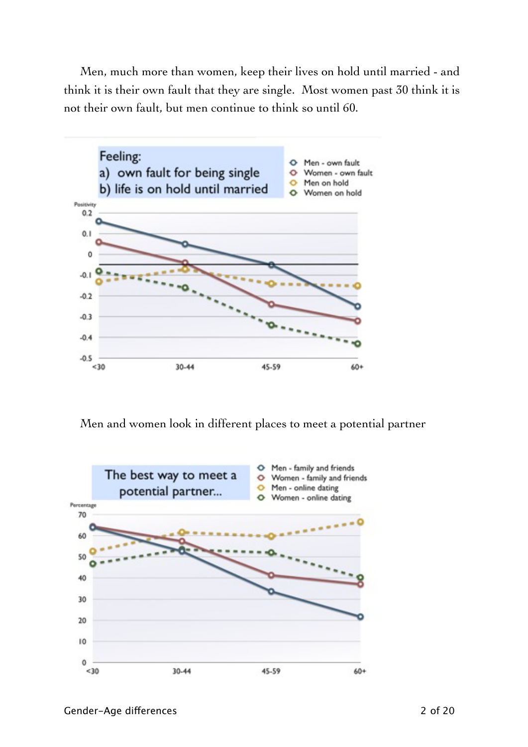Men, much more than women, keep their lives on hold until married - and think it is their own fault that they are single. Most women past 30 think it is not their own fault, but men continue to think so until 60.



Men and women look in different places to meet a potential partner

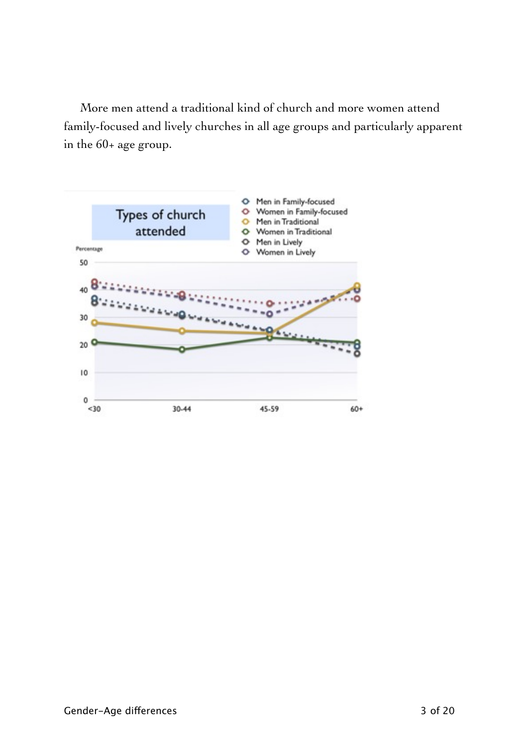More men attend a traditional kind of church and more women attend family-focused and lively churches in all age groups and particularly apparent in the 60+ age group.

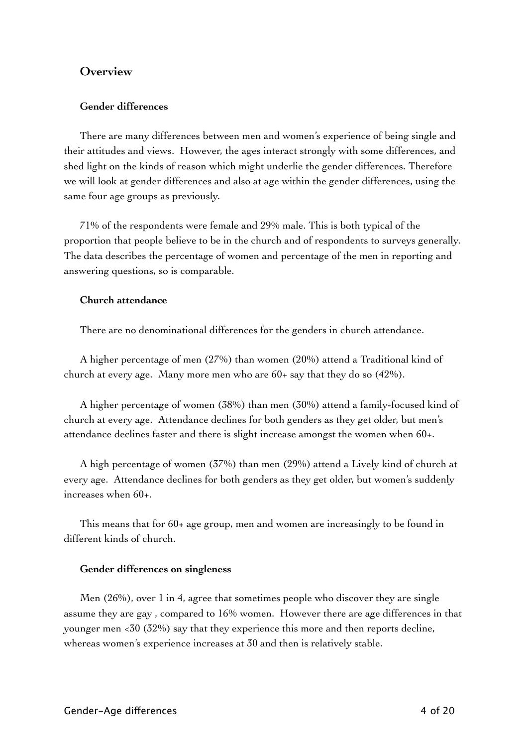## **Overview**

## **Gender differences**

There are many differences between men and women's experience of being single and their attitudes and views. However, the ages interact strongly with some differences, and shed light on the kinds of reason which might underlie the gender differences. Therefore we will look at gender differences and also at age within the gender differences, using the same four age groups as previously.

71% of the respondents were female and 29% male. This is both typical of the proportion that people believe to be in the church and of respondents to surveys generally. The data describes the percentage of women and percentage of the men in reporting and answering questions, so is comparable.

### **Church attendance**

There are no denominational differences for the genders in church attendance.

A higher percentage of men (27%) than women (20%) attend a Traditional kind of church at every age. Many more men who are 60+ say that they do so (42%).

A higher percentage of women (38%) than men (30%) attend a family-focused kind of church at every age. Attendance declines for both genders as they get older, but men's attendance declines faster and there is slight increase amongst the women when 60+.

A high percentage of women (37%) than men (29%) attend a Lively kind of church at every age. Attendance declines for both genders as they get older, but women's suddenly increases when 60+.

This means that for 60+ age group, men and women are increasingly to be found in different kinds of church.

### **Gender differences on singleness**

Men  $(26%)$ , over 1 in 4, agree that sometimes people who discover they are single assume they are gay , compared to 16% women. However there are age differences in that younger men <30 (32%) say that they experience this more and then reports decline, whereas women's experience increases at 30 and then is relatively stable.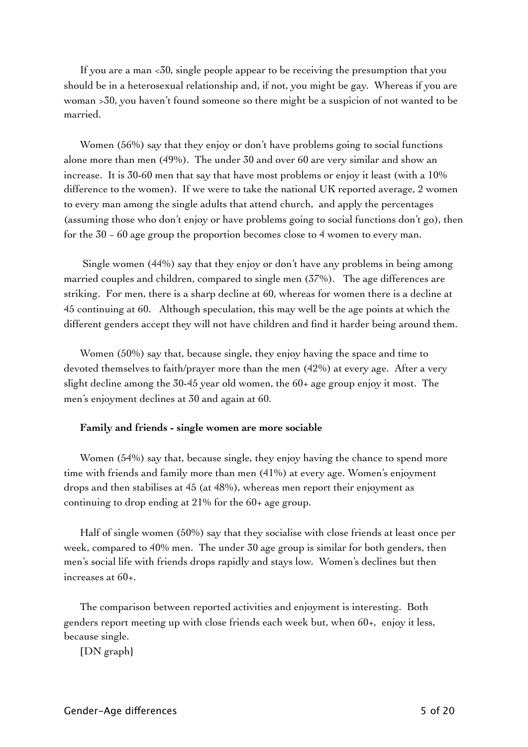If you are a man <30, single people appear to be receiving the presumption that you should be in a heterosexual relationship and, if not, you might be gay. Whereas if you are woman >30, you haven't found someone so there might be a suspicion of not wanted to be married.

Women (56%) say that they enjoy or don't have problems going to social functions alone more than men (49%). The under 30 and over 60 are very similar and show an increase. It is 30-60 men that say that have most problems or enjoy it least (with a 10% difference to the women). If we were to take the national UK reported average, 2 women to every man among the single adults that attend church, and apply the percentages (assuming those who don't enjoy or have problems going to social functions don't go), then for the 30 − 60 age group the proportion becomes close to 4 women to every man.

 Single women (44%) say that they enjoy or don't have any problems in being among married couples and children, compared to single men (37%). The age differences are striking. For men, there is a sharp decline at 60, whereas for women there is a decline at 45 continuing at 60. Although speculation, this may well be the age points at which the different genders accept they will not have children and find it harder being around them.

Women (50%) say that, because single, they enjoy having the space and time to devoted themselves to faith/prayer more than the men (42%) at every age. After a very slight decline among the 30-45 year old women, the 60+ age group enjoy it most. The men's enjoyment declines at 30 and again at 60.

### **Family and friends - single women are more sociable**

Women (54%) say that, because single, they enjoy having the chance to spend more time with friends and family more than men (41%) at every age. Women's enjoyment drops and then stabilises at 45 (at 48%), whereas men report their enjoyment as continuing to drop ending at 21% for the 60+ age group.

Half of single women (50%) say that they socialise with close friends at least once per week, compared to 40% men. The under 30 age group is similar for both genders, then men's social life with friends drops rapidly and stays low. Women's declines but then increases at 60+.

The comparison between reported activities and enjoyment is interesting. Both genders report meeting up with close friends each week but, when 60+, enjoy it less, because single.

[DN graph}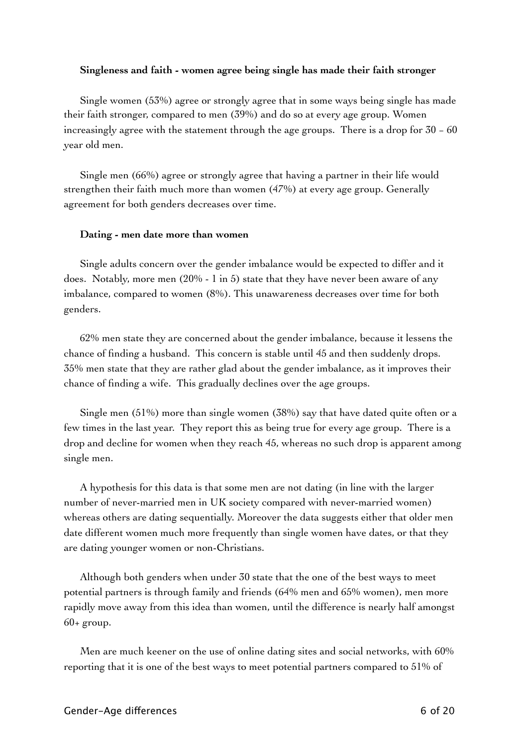### **Singleness and faith - women agree being single has made their faith stronger**

Single women (53%) agree or strongly agree that in some ways being single has made their faith stronger, compared to men (39%) and do so at every age group. Women increasingly agree with the statement through the age groups. There is a drop for 30 − 60 year old men.

Single men (66%) agree or strongly agree that having a partner in their life would strengthen their faith much more than women (47%) at every age group. Generally agreement for both genders decreases over time.

### **Dating - men date more than women**

Single adults concern over the gender imbalance would be expected to differ and it does. Notably, more men  $(20\% - 1 \text{ in } 5)$  state that they have never been aware of any imbalance, compared to women (8%). This unawareness decreases over time for both genders.

62% men state they are concerned about the gender imbalance, because it lessens the chance of finding a husband. This concern is stable until 45 and then suddenly drops. 35% men state that they are rather glad about the gender imbalance, as it improves their chance of finding a wife. This gradually declines over the age groups.

Single men (51%) more than single women (38%) say that have dated quite often or a few times in the last year. They report this as being true for every age group. There is a drop and decline for women when they reach 45, whereas no such drop is apparent among single men.

A hypothesis for this data is that some men are not dating (in line with the larger number of never-married men in UK society compared with never-married women) whereas others are dating sequentially. Moreover the data suggests either that older men date different women much more frequently than single women have dates, or that they are dating younger women or non-Christians.

Although both genders when under 30 state that the one of the best ways to meet potential partners is through family and friends (64% men and 65% women), men more rapidly move away from this idea than women, until the difference is nearly half amongst  $60+$  group.

Men are much keener on the use of online dating sites and social networks, with 60% reporting that it is one of the best ways to meet potential partners compared to 51% of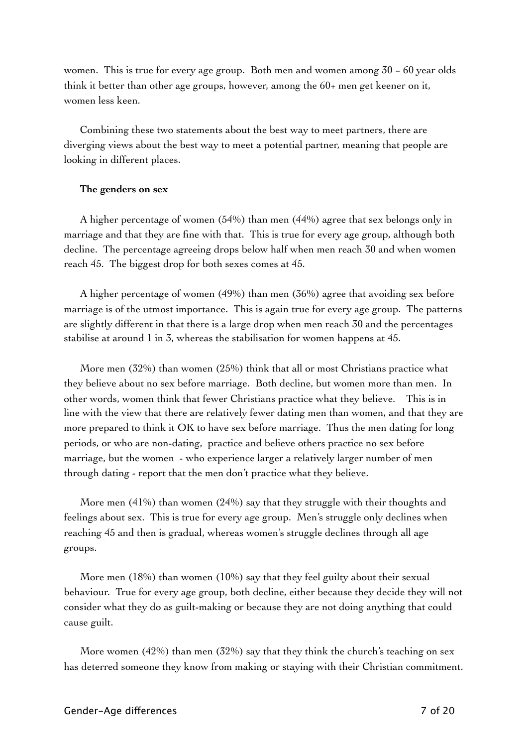women. This is true for every age group. Both men and women among 30 − 60 year olds think it better than other age groups, however, among the 60+ men get keener on it, women less keen.

Combining these two statements about the best way to meet partners, there are diverging views about the best way to meet a potential partner, meaning that people are looking in different places.

### **The genders on sex**

A higher percentage of women (54%) than men (44%) agree that sex belongs only in marriage and that they are fine with that. This is true for every age group, although both decline. The percentage agreeing drops below half when men reach 30 and when women reach 45. The biggest drop for both sexes comes at 45.

A higher percentage of women (49%) than men (36%) agree that avoiding sex before marriage is of the utmost importance. This is again true for every age group. The patterns are slightly different in that there is a large drop when men reach 30 and the percentages stabilise at around 1 in 3, whereas the stabilisation for women happens at 45.

More men (32%) than women (25%) think that all or most Christians practice what they believe about no sex before marriage. Both decline, but women more than men. In other words, women think that fewer Christians practice what they believe. This is in line with the view that there are relatively fewer dating men than women, and that they are more prepared to think it OK to have sex before marriage. Thus the men dating for long periods, or who are non-dating, practice and believe others practice no sex before marriage, but the women - who experience larger a relatively larger number of men through dating - report that the men don't practice what they believe.

More men  $(41%)$  than women  $(24%)$  say that they struggle with their thoughts and feelings about sex. This is true for every age group. Men's struggle only declines when reaching 45 and then is gradual, whereas women's struggle declines through all age groups.

More men (18%) than women (10%) say that they feel guilty about their sexual behaviour. True for every age group, both decline, either because they decide they will not consider what they do as guilt-making or because they are not doing anything that could cause guilt.

More women (42%) than men (32%) say that they think the church's teaching on sex has deterred someone they know from making or staying with their Christian commitment.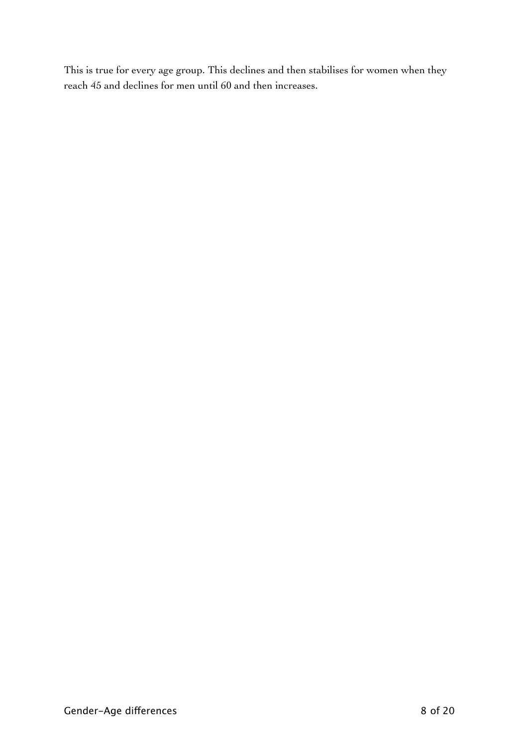This is true for every age group. This declines and then stabilises for women when they reach 45 and declines for men until 60 and then increases.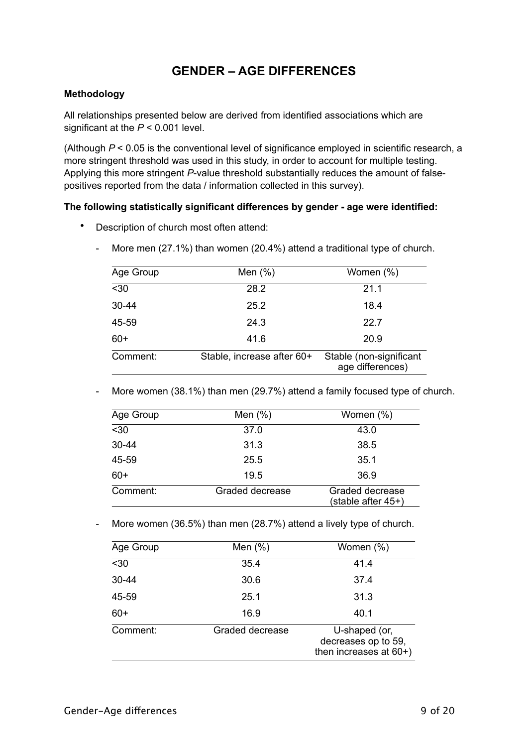# **GENDER – AGE DIFFERENCES**

## **Methodology**

All relationships presented below are derived from identified associations which are significant at the *P* < 0.001 level.

(Although *P* < 0.05 is the conventional level of significance employed in scientific research, a more stringent threshold was used in this study, in order to account for multiple testing. Applying this more stringent *P*-value threshold substantially reduces the amount of falsepositives reported from the data / information collected in this survey).

## **The following statistically significant differences by gender - age were identified:**

• Description of church most often attend:

|  |  |  |  |  |  |  | More men (27.1%) than women (20.4%) attend a traditional type of church. |
|--|--|--|--|--|--|--|--------------------------------------------------------------------------|
|--|--|--|--|--|--|--|--------------------------------------------------------------------------|

| Age Group | Men $(\%)$                 | Women (%)                                   |
|-----------|----------------------------|---------------------------------------------|
| $30$      | 28.2                       | 21.1                                        |
| 30-44     | 25.2                       | 18.4                                        |
| 45-59     | 24.3                       | 22.7                                        |
| $60+$     | 41.6                       | 20.9                                        |
| Comment:  | Stable, increase after 60+ | Stable (non-significant<br>age differences) |

- More women (38.1%) than men (29.7%) attend a family focused type of church.

| Age Group | Men $(\%)$      | Women (%)                             |
|-----------|-----------------|---------------------------------------|
| $30$      | 37.0            | 43.0                                  |
| $30 - 44$ | 31.3            | 38.5                                  |
| 45-59     | 25.5            | 35.1                                  |
| $60+$     | 19.5            | 36.9                                  |
| Comment:  | Graded decrease | Graded decrease<br>(stable after 45+) |

- More women (36.5%) than men (28.7%) attend a lively type of church.

| Age Group        | Men $(\%)$      | Women (%)                                                         |
|------------------|-----------------|-------------------------------------------------------------------|
| $\overline{530}$ | 35.4            | 41.4                                                              |
| $30 - 44$        | 30.6            | 37.4                                                              |
| 45-59            | 25.1            | 31.3                                                              |
| $60+$            | 16.9            | 40.1                                                              |
| Comment:         | Graded decrease | U-shaped (or,<br>decreases op to 59,<br>then increases at $60+$ ) |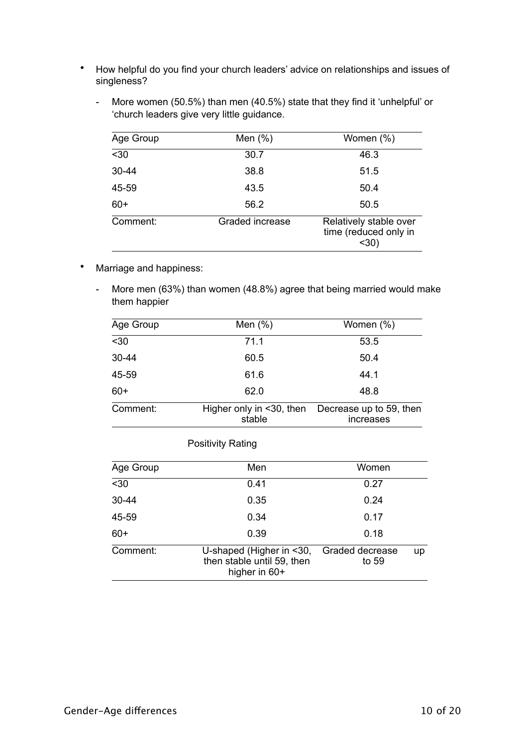- How helpful do you find your church leaders' advice on relationships and issues of singleness?
	- More women (50.5%) than men (40.5%) state that they find it 'unhelpful' or 'church leaders give very little guidance.

| Age Group | Men $(\%)$      | Women (%)                                               |
|-----------|-----------------|---------------------------------------------------------|
| $30$      | 30.7            | 46.3                                                    |
| $30 - 44$ | 38.8            | 51.5                                                    |
| 45-59     | 43.5            | 50.4                                                    |
| $60+$     | 56.2            | 50.5                                                    |
| Comment:  | Graded increase | Relatively stable over<br>time (reduced only in<br>$30$ |

- Marriage and happiness:
	- More men (63%) than women (48.8%) agree that being married would make them happier

| Age Group        | Men $(\%)$                         | Women (%)                            |
|------------------|------------------------------------|--------------------------------------|
| $\overline{530}$ | 71.1                               | 53.5                                 |
| 30-44            | 60.5                               | 50.4                                 |
| 45-59            | 61.6                               | 44.1                                 |
| $60+$            | 62.0                               | 48.8                                 |
| Comment:         | Higher only in <30, then<br>stable | Decrease up to 59, then<br>increases |

| Age Group | Men                                                                     | Women                    |    |
|-----------|-------------------------------------------------------------------------|--------------------------|----|
| $30$      | 0.41                                                                    | 0.27                     |    |
| $30 - 44$ | 0.35                                                                    | 0.24                     |    |
| 45-59     | 0.34                                                                    | 0.17                     |    |
| $60+$     | 0.39                                                                    | 0.18                     |    |
| Comment:  | U-shaped (Higher in <30,<br>then stable until 59, then<br>higher in 60+ | Graded decrease<br>to 59 | up |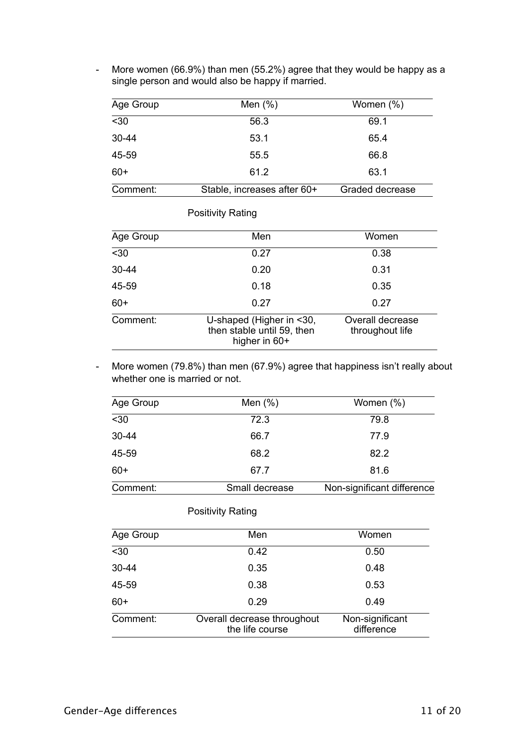- More women (66.9%) than men (55.2%) agree that they would be happy as a single person and would also be happy if married.

| Age Group | Men $(\%)$                  | Women $(\%)$    |
|-----------|-----------------------------|-----------------|
| $30$      | 56.3                        | 69.1            |
| $30 - 44$ | 53.1                        | 65.4            |
| 45-59     | 55.5                        | 66.8            |
| $60+$     | 61.2                        | 63.1            |
| Comment:  | Stable, increases after 60+ | Graded decrease |

### Positivity Rating

| Age Group | Men                                                                     | Women                               |
|-----------|-------------------------------------------------------------------------|-------------------------------------|
| $30$      | 0.27                                                                    | 0.38                                |
| $30 - 44$ | 0.20                                                                    | 0.31                                |
| 45-59     | 0.18                                                                    | 0.35                                |
| $60+$     | 0.27                                                                    | 0.27                                |
| Comment:  | U-shaped (Higher in <30,<br>then stable until 59, then<br>higher in 60+ | Overall decrease<br>throughout life |

- More women (79.8%) than men (67.9%) agree that happiness isn't really about whether one is married or not.

| Age Group | Men $(\%)$     | Women $(\%)$               |
|-----------|----------------|----------------------------|
| $30$      | 72.3           | 79.8                       |
| $30 - 44$ | 66.7           | 77.9                       |
| 45-59     | 68.2           | 82.2                       |
| $60+$     | 67.7           | 81.6                       |
| Comment:  | Small decrease | Non-significant difference |

| Age Group        | Men                                            | Women                         |
|------------------|------------------------------------------------|-------------------------------|
| $\overline{530}$ | 0.42                                           | 0.50                          |
| $30 - 44$        | 0.35                                           | 0.48                          |
| 45-59            | 0.38                                           | 0.53                          |
| $60+$            | 0.29                                           | 0.49                          |
| Comment:         | Overall decrease throughout<br>the life course | Non-significant<br>difference |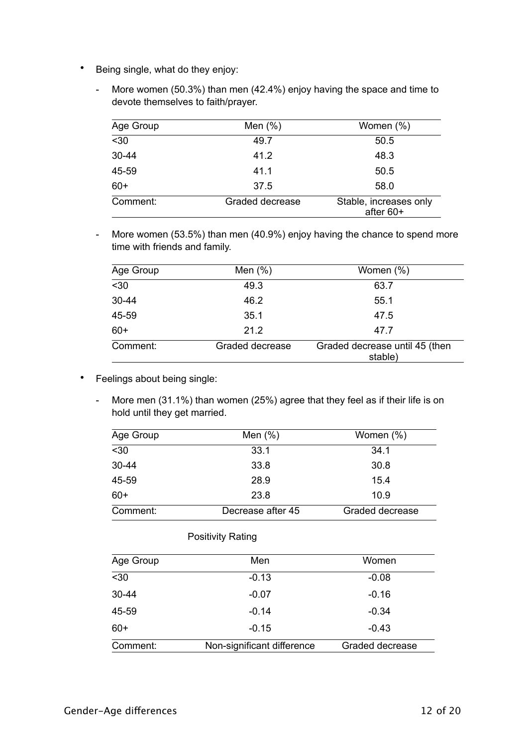- Being single, what do they enjoy:
	- More women (50.3%) than men (42.4%) enjoy having the space and time to devote themselves to faith/prayer.

| Age Group | Men $(\%)$      | Women (%)                           |
|-----------|-----------------|-------------------------------------|
| $30$      | 49.7            | 50.5                                |
| $30 - 44$ | 41.2            | 48.3                                |
| 45-59     | 41.1            | 50.5                                |
| $60+$     | 37.5            | 58.0                                |
| Comment:  | Graded decrease | Stable, increases only<br>after 60+ |

- More women (53.5%) than men (40.9%) enjoy having the chance to spend more time with friends and family.

| Age Group        | Men $(\%)$      | Women (%)                                 |
|------------------|-----------------|-------------------------------------------|
| $\overline{530}$ | 49.3            | 63.7                                      |
| $30 - 44$        | 46.2            | 55.1                                      |
| 45-59            | 35.1            | 47.5                                      |
| $60+$            | 21.2            | 47.7                                      |
| Comment:         | Graded decrease | Graded decrease until 45 (then<br>stable) |

- Feelings about being single:
	- More men (31.1%) than women (25%) agree that they feel as if their life is on hold until they get married.

| Age Group        | Men $(\%)$        | Women (%)       |
|------------------|-------------------|-----------------|
| $\overline{530}$ | 33.1              | 34.1            |
| 30-44            | 33.8              | 30.8            |
| 45-59            | 28.9              | 15.4            |
| $60+$            | 23.8              | 10.9            |
| Comment:         | Decrease after 45 | Graded decrease |

| Age Group        | Men                        | Women           |
|------------------|----------------------------|-----------------|
| $\overline{530}$ | $-0.13$                    | $-0.08$         |
| 30-44            | $-0.07$                    | $-0.16$         |
| 45-59            | $-0.14$                    | $-0.34$         |
| $60+$            | $-0.15$                    | $-0.43$         |
| Comment:         | Non-significant difference | Graded decrease |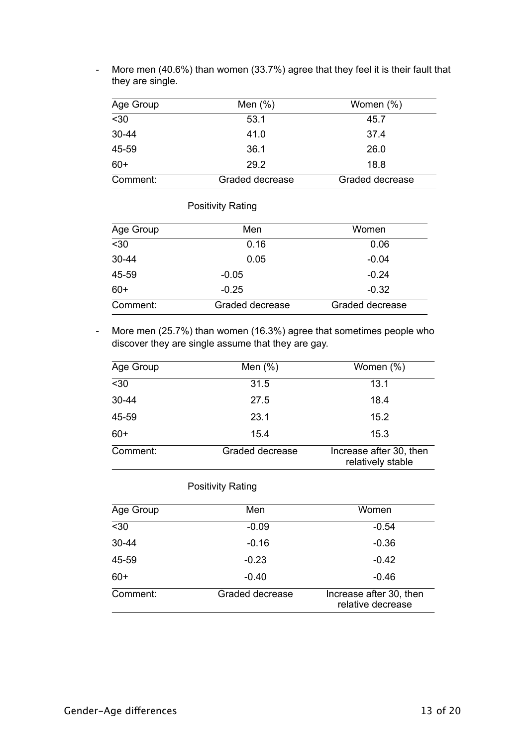| Age Group        | Men $(\%)$      | Women $(\%)$    |
|------------------|-----------------|-----------------|
| $\overline{530}$ | 53.1            | 45.7            |
| $30 - 44$        | 41.0            | 37.4            |
| 45-59            | 36.1            | 26.0            |
| $60+$            | 29.2            | 18.8            |
| Comment:         | Graded decrease | Graded decrease |

- More men (40.6%) than women (33.7%) agree that they feel it is their fault that they are single.

# Positivity Rating

| Age Group | Men             | Women           |
|-----------|-----------------|-----------------|
| $30$      | 0.16            | 0.06            |
| $30 - 44$ | 0.05            | $-0.04$         |
| 45-59     | $-0.05$         | $-0.24$         |
| $60+$     | $-0.25$         | $-0.32$         |
| Comment:  | Graded decrease | Graded decrease |

- More men (25.7%) than women (16.3%) agree that sometimes people who discover they are single assume that they are gay.

| Age Group | Men $(\%)$      | Women (%)                                    |
|-----------|-----------------|----------------------------------------------|
| $30$      | 31.5            | 13.1                                         |
| $30 - 44$ | 27.5            | 18.4                                         |
| 45-59     | 23.1            | 15.2                                         |
| $60+$     | 15.4            | 15.3                                         |
| Comment:  | Graded decrease | Increase after 30, then<br>relatively stable |

| Age Group | Men             | Women                                        |
|-----------|-----------------|----------------------------------------------|
| $30$      | $-0.09$         | $-0.54$                                      |
| $30 - 44$ | $-0.16$         | $-0.36$                                      |
| 45-59     | $-0.23$         | $-0.42$                                      |
| $60+$     | $-0.40$         | $-0.46$                                      |
| Comment:  | Graded decrease | Increase after 30, then<br>relative decrease |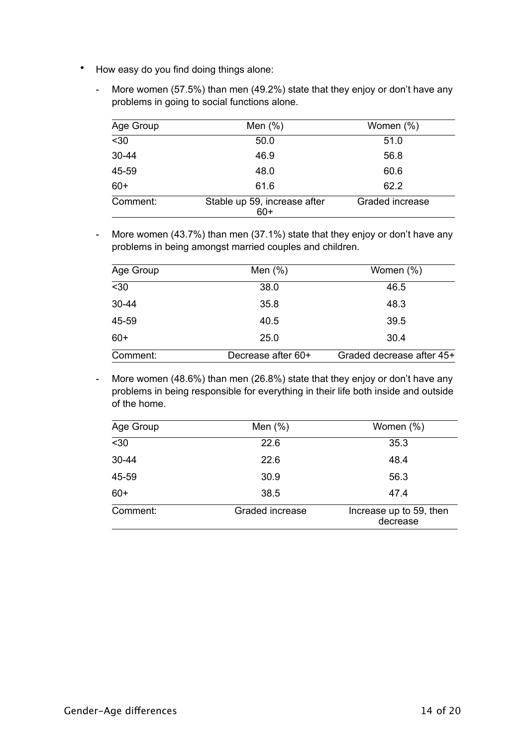- How easy do you find doing things alone:
	- More women (57.5%) than men (49.2%) state that they enjoy or don't have any problems in going to social functions alone.

| Age Group | Men $(\%)$                            | Women (%)       |
|-----------|---------------------------------------|-----------------|
| $30$      | 50.0                                  | 51.0            |
| $30 - 44$ | 46.9                                  | 56.8            |
| 45-59     | 48.0                                  | 60.6            |
| $60+$     | 61.6                                  | 62.2            |
| Comment:  | Stable up 59, increase after<br>$60+$ | Graded increase |

- More women (43.7%) than men (37.1%) state that they enjoy or don't have any problems in being amongst married couples and children.

| Age Group | Men $(\%)$         | Women (%)                 |
|-----------|--------------------|---------------------------|
| $30$      | 38.0               | 46.5                      |
| $30 - 44$ | 35.8               | 48.3                      |
| 45-59     | 40.5               | 39.5                      |
| $60+$     | 25.0               | 30.4                      |
| Comment:  | Decrease after 60+ | Graded decrease after 45+ |

- More women (48.6%) than men (26.8%) state that they enjoy or don't have any problems in being responsible for everything in their life both inside and outside of the home.

| Age Group | Men $(\%)$      | Women (%)                           |
|-----------|-----------------|-------------------------------------|
| $30$      | 22.6            | 35.3                                |
| 30-44     | 22.6            | 48.4                                |
| 45-59     | 30.9            | 56.3                                |
| $60+$     | 38.5            | 47.4                                |
| Comment:  | Graded increase | Increase up to 59, then<br>decrease |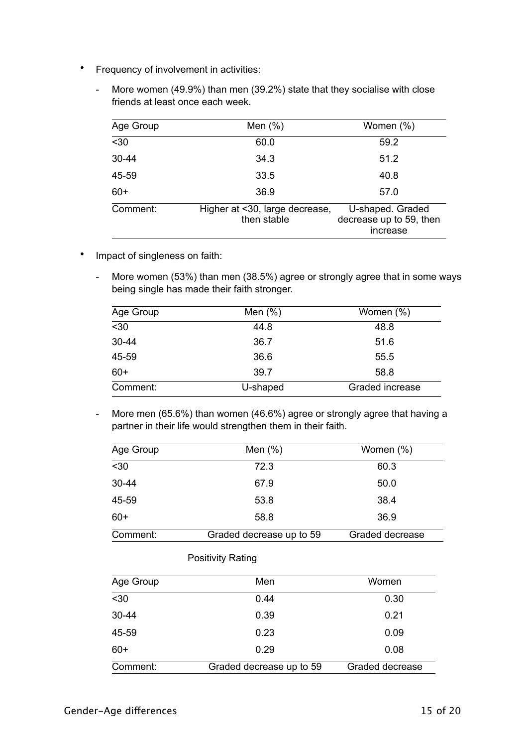- Frequency of involvement in activities:
	- More women (49.9%) than men (39.2%) state that they socialise with close friends at least once each week.

| Age Group | Men $(\%)$                                    | Women (%)                                               |
|-----------|-----------------------------------------------|---------------------------------------------------------|
| $30$      | 60.0                                          | 59.2                                                    |
| $30 - 44$ | 34.3                                          | 51.2                                                    |
| 45-59     | 33.5                                          | 40.8                                                    |
| $60+$     | 36.9                                          | 57.0                                                    |
| Comment:  | Higher at <30, large decrease,<br>then stable | U-shaped. Graded<br>decrease up to 59, then<br>increase |

- Impact of singleness on faith:
	- More women (53%) than men (38.5%) agree or strongly agree that in some ways being single has made their faith stronger.

| Age Group | Men $(\%)$ | Women (%)       |
|-----------|------------|-----------------|
| $30$      | 44.8       | 48.8            |
| $30 - 44$ | 36.7       | 51.6            |
| 45-59     | 36.6       | 55.5            |
| $60+$     | 39.7       | 58.8            |
| Comment:  | U-shaped   | Graded increase |

- More men (65.6%) than women (46.6%) agree or strongly agree that having a partner in their life would strengthen them in their faith.

| Age Group | Men $(\%)$               | Women $(\%)$    |
|-----------|--------------------------|-----------------|
| $30$      | 72.3                     | 60.3            |
| 30-44     | 67.9                     | 50.0            |
| 45-59     | 53.8                     | 38.4            |
| $60+$     | 58.8                     | 36.9            |
| Comment:  | Graded decrease up to 59 | Graded decrease |

| Age Group | Men                      | Women           |
|-----------|--------------------------|-----------------|
| $30$      | 0.44                     | 0.30            |
| $30 - 44$ | 0.39                     | 0.21            |
| 45-59     | 0.23                     | 0.09            |
| $60+$     | 0.29                     | 0.08            |
| Comment:  | Graded decrease up to 59 | Graded decrease |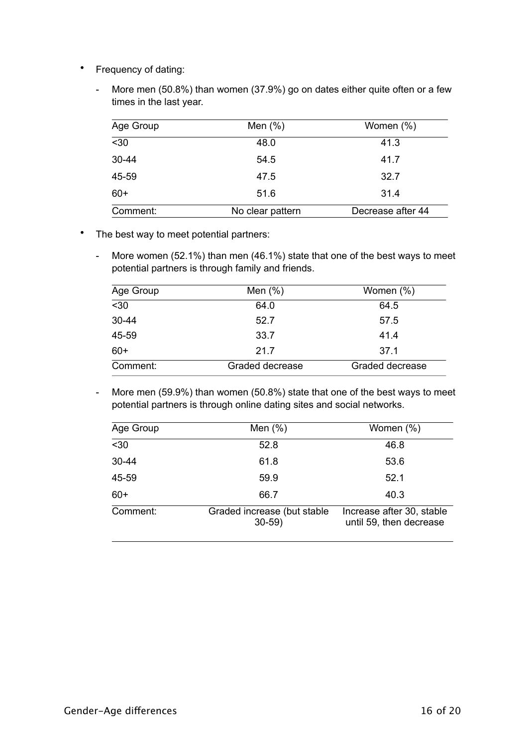- Frequency of dating:
	- More men (50.8%) than women (37.9%) go on dates either quite often or a few times in the last year.

| Age Group | Men $(%)$        | Women (%)         |
|-----------|------------------|-------------------|
| $30$      | 48.0             | 41.3              |
| 30-44     | 54.5             | 41.7              |
| 45-59     | 47.5             | 32.7              |
| $60+$     | 51.6             | 31.4              |
| Comment:  | No clear pattern | Decrease after 44 |

- The best way to meet potential partners:
	- More women (52.1%) than men (46.1%) state that one of the best ways to meet potential partners is through family and friends.

| Age Group        | Men $(\%)$      | Women (%)       |
|------------------|-----------------|-----------------|
| $\overline{530}$ | 64.0            | 64.5            |
| $30 - 44$        | 52.7            | 57.5            |
| 45-59            | 33.7            | 41.4            |
| $60+$            | 21.7            | 37.1            |
| Comment:         | Graded decrease | Graded decrease |

- More men (59.9%) than women (50.8%) state that one of the best ways to meet potential partners is through online dating sites and social networks.

| Age Group | Men $(\%)$                             | Women (%)                                            |
|-----------|----------------------------------------|------------------------------------------------------|
| $30$      | 52.8                                   | 46.8                                                 |
| 30-44     | 61.8                                   | 53.6                                                 |
| 45-59     | 59.9                                   | 52.1                                                 |
| $60+$     | 66.7                                   | 40.3                                                 |
| Comment:  | Graded increase (but stable<br>$30-59$ | Increase after 30, stable<br>until 59, then decrease |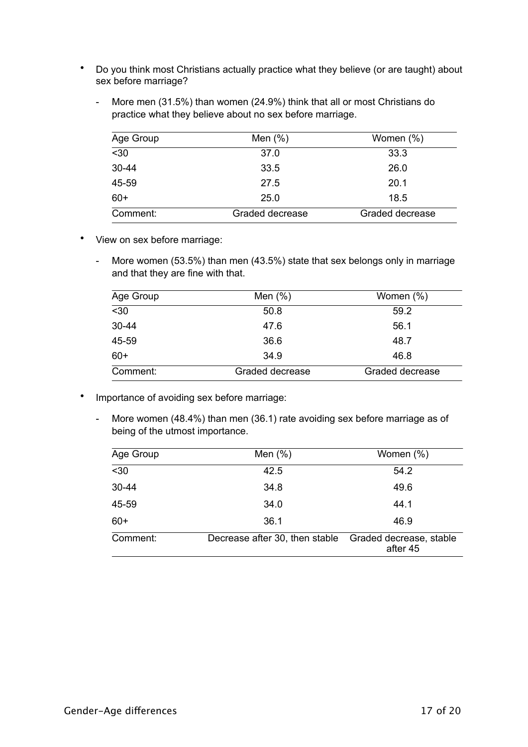- Do you think most Christians actually practice what they believe (or are taught) about sex before marriage?
	- More men (31.5%) than women (24.9%) think that all or most Christians do practice what they believe about no sex before marriage.

| Age Group        | Men $(\%)$      | Women $(\%)$    |
|------------------|-----------------|-----------------|
| $\overline{530}$ | 37.0            | 33.3            |
| $30 - 44$        | 33.5            | 26.0            |
| 45-59            | 27.5            | 20.1            |
| $60+$            | 25.0            | 18.5            |
| Comment:         | Graded decrease | Graded decrease |

- View on sex before marriage:
	- More women (53.5%) than men (43.5%) state that sex belongs only in marriage and that they are fine with that.

| Age Group | Men $(\%)$      | Women (%)       |
|-----------|-----------------|-----------------|
| $30$      | 50.8            | 59.2            |
| $30 - 44$ | 47.6            | 56.1            |
| 45-59     | 36.6            | 48.7            |
| $60+$     | 34.9            | 46.8            |
| Comment:  | Graded decrease | Graded decrease |

- Importance of avoiding sex before marriage:
	- More women (48.4%) than men (36.1) rate avoiding sex before marriage as of being of the utmost importance.

| Age Group | Men $(\%)$                     | Women (%)                           |
|-----------|--------------------------------|-------------------------------------|
| $30$      | 42.5                           | 54.2                                |
| 30-44     | 34.8                           | 49.6                                |
| 45-59     | 34.0                           | 44.1                                |
| $60+$     | 36.1                           | 46.9                                |
| Comment:  | Decrease after 30, then stable | Graded decrease, stable<br>after 45 |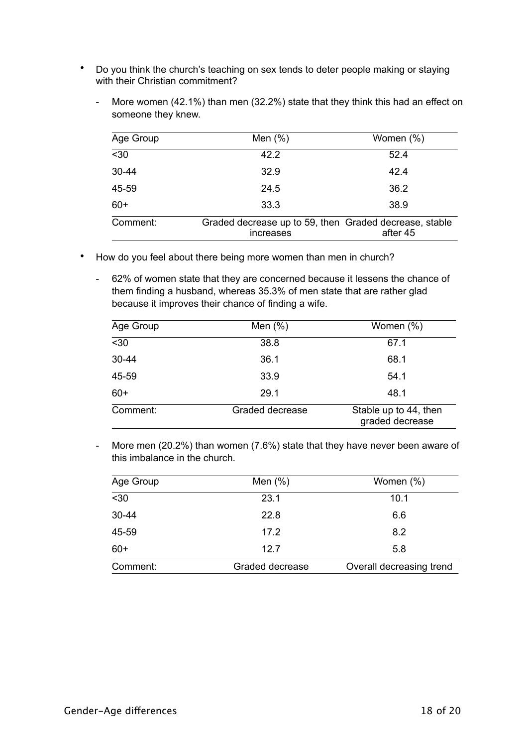- Do you think the church's teaching on sex tends to deter people making or staying with their Christian commitment?
	- More women (42.1%) than men (32.2%) state that they think this had an effect on someone they knew.

| Age Group | Men $(\%)$                                                          | Women (%) |
|-----------|---------------------------------------------------------------------|-----------|
| $30$      | 42.2                                                                | 52.4      |
| 30-44     | 32.9                                                                | 42.4      |
| 45-59     | 24.5                                                                | 36.2      |
| $60+$     | 33.3                                                                | 38.9      |
| Comment:  | Graded decrease up to 59, then Graded decrease, stable<br>increases | after 45  |

- How do you feel about there being more women than men in church?
	- 62% of women state that they are concerned because it lessens the chance of them finding a husband, whereas 35.3% of men state that are rather glad because it improves their chance of finding a wife.

| Age Group | Men $(\%)$      | Women (%)                                |
|-----------|-----------------|------------------------------------------|
| $30$      | 38.8            | 67.1                                     |
| 30-44     | 36.1            | 68.1                                     |
| 45-59     | 33.9            | 54.1                                     |
| $60+$     | 29.1            | 48.1                                     |
| Comment:  | Graded decrease | Stable up to 44, then<br>graded decrease |

- More men (20.2%) than women (7.6%) state that they have never been aware of this imbalance in the church.

| Age Group | Men $(\%)$      | Women (%)                |
|-----------|-----------------|--------------------------|
| $30$      | 23.1            | 10.1                     |
| 30-44     | 22.8            | 6.6                      |
| 45-59     | 17.2            | 8.2                      |
| $60+$     | 12.7            | 5.8                      |
| Comment:  | Graded decrease | Overall decreasing trend |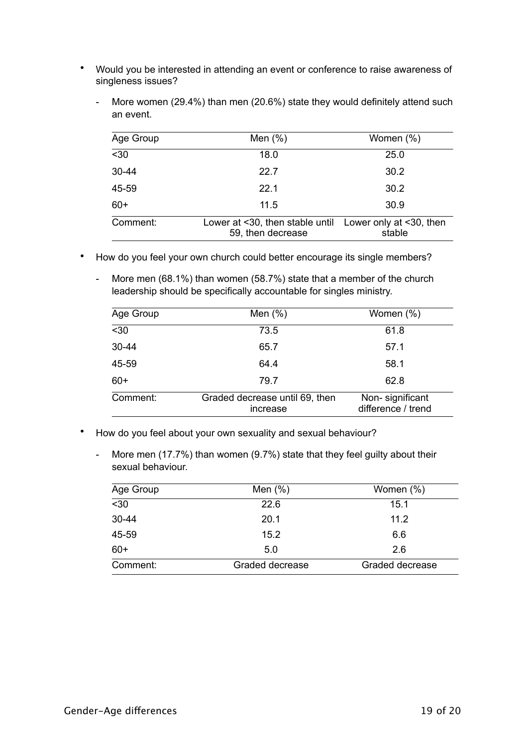- Would you be interested in attending an event or conference to raise awareness of singleness issues?
	- More women (29.4%) than men (20.6%) state they would definitely attend such an event.

| Age Group | Men $(\%)$                                                                   | Women (%) |
|-----------|------------------------------------------------------------------------------|-----------|
| $30$      | 18.0                                                                         | 25.0      |
| $30 - 44$ | 22.7                                                                         | 30.2      |
| 45-59     | 22.1                                                                         | 30.2      |
| $60+$     | 11.5                                                                         | 30.9      |
| Comment:  | Lower at <30, then stable until Lower only at <30, then<br>59, then decrease | stable    |

- How do you feel your own church could better encourage its single members?
	- More men (68.1%) than women (58.7%) state that a member of the church leadership should be specifically accountable for singles ministry.

| Age Group | Men $(\%)$                                 | Women (%)                             |
|-----------|--------------------------------------------|---------------------------------------|
| $30$      | 73.5                                       | 61.8                                  |
| 30-44     | 65.7                                       | 57.1                                  |
| 45-59     | 64.4                                       | 58.1                                  |
| $60+$     | 79.7                                       | 62.8                                  |
| Comment:  | Graded decrease until 69, then<br>increase | Non-significant<br>difference / trend |

- How do you feel about your own sexuality and sexual behaviour?
	- More men (17.7%) than women (9.7%) state that they feel guilty about their sexual behaviour.

| Age Group        | Men $(\%)$      | Women (%)       |
|------------------|-----------------|-----------------|
| $\overline{530}$ | 22.6            | 15.1            |
| 30-44            | 20.1            | 11.2            |
| 45-59            | 15.2            | 6.6             |
| $60+$            | 5.0             | 2.6             |
| Comment:         | Graded decrease | Graded decrease |